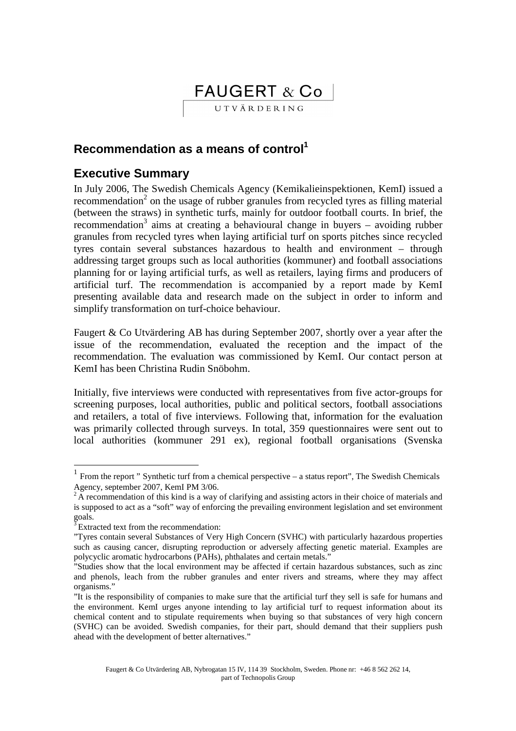# FAUGERT & Co

UTVÄRDERING

# **Recommendation as a means of control<sup>1</sup>**

# **Executive Summary**

In July 2006, The Swedish Chemicals Agency (Kemikalieinspektionen, KemI) issued a recommendation<sup>2</sup> on the usage of rubber granules from recycled tyres as filling material (between the straws) in synthetic turfs, mainly for outdoor football courts. In brief, the recommendation<sup>3</sup> aims at creating a behavioural change in buyers – avoiding rubber granules from recycled tyres when laying artificial turf on sports pitches since recycled tyres contain several substances hazardous to health and environment – through addressing target groups such as local authorities (kommuner) and football associations planning for or laying artificial turfs, as well as retailers, laying firms and producers of artificial turf. The recommendation is accompanied by a report made by KemI presenting available data and research made on the subject in order to inform and simplify transformation on turf-choice behaviour.

Faugert & Co Utvärdering AB has during September 2007, shortly over a year after the issue of the recommendation, evaluated the reception and the impact of the recommendation. The evaluation was commissioned by KemI. Our contact person at KemI has been Christina Rudin Snöbohm.

Initially, five interviews were conducted with representatives from five actor-groups for screening purposes, local authorities, public and political sectors, football associations and retailers, a total of five interviews. Following that, information for the evaluation was primarily collected through surveys. In total, 359 questionnaires were sent out to local authorities (kommuner 291 ex), regional football organisations (Svenska

 $\overline{a}$ 

<sup>1</sup> From the report " Synthetic turf from a chemical perspective – a status report", The Swedish Chemicals Agency, september 2007, KemI PM 3/06.

 $2A$  recommendation of this kind is a way of clarifying and assisting actors in their choice of materials and is supposed to act as a "soft" way of enforcing the prevailing environment legislation and set environment goals.

 $3\overline{E}$  Extracted text from the recommendation:

<sup>&</sup>quot;Tyres contain several Substances of Very High Concern (SVHC) with particularly hazardous properties such as causing cancer, disrupting reproduction or adversely affecting genetic material. Examples are polycyclic aromatic hydrocarbons (PAHs), phthalates and certain metals."

<sup>&</sup>quot;Studies show that the local environment may be affected if certain hazardous substances, such as zinc and phenols, leach from the rubber granules and enter rivers and streams, where they may affect organisms."

<sup>&</sup>quot;It is the responsibility of companies to make sure that the artificial turf they sell is safe for humans and the environment. KemI urges anyone intending to lay artificial turf to request information about its chemical content and to stipulate requirements when buying so that substances of very high concern (SVHC) can be avoided. Swedish companies, for their part, should demand that their suppliers push ahead with the development of better alternatives."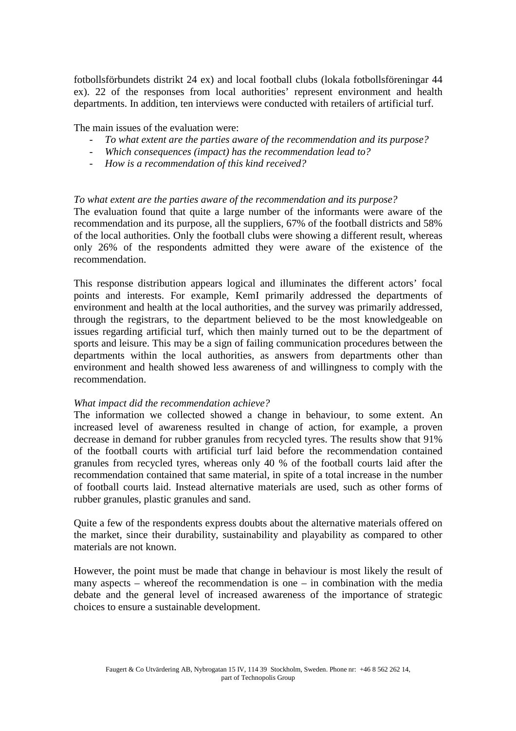fotbollsförbundets distrikt 24 ex) and local football clubs (lokala fotbollsföreningar 44 ex). 22 of the responses from local authorities' represent environment and health departments. In addition, ten interviews were conducted with retailers of artificial turf.

The main issues of the evaluation were:

- To what extent are the parties aware of the recommendation and its purpose?
- *Which consequences (impact) has the recommendation lead to?*
- *How is a recommendation of this kind received?*

#### *To what extent are the parties aware of the recommendation and its purpose?*

The evaluation found that quite a large number of the informants were aware of the recommendation and its purpose, all the suppliers, 67% of the football districts and 58% of the local authorities. Only the football clubs were showing a different result, whereas only 26% of the respondents admitted they were aware of the existence of the recommendation.

This response distribution appears logical and illuminates the different actors' focal points and interests. For example, KemI primarily addressed the departments of environment and health at the local authorities, and the survey was primarily addressed, through the registrars, to the department believed to be the most knowledgeable on issues regarding artificial turf, which then mainly turned out to be the department of sports and leisure. This may be a sign of failing communication procedures between the departments within the local authorities, as answers from departments other than environment and health showed less awareness of and willingness to comply with the recommendation.

#### *What impact did the recommendation achieve?*

The information we collected showed a change in behaviour, to some extent. An increased level of awareness resulted in change of action, for example, a proven decrease in demand for rubber granules from recycled tyres. The results show that 91% of the football courts with artificial turf laid before the recommendation contained granules from recycled tyres, whereas only 40 % of the football courts laid after the recommendation contained that same material, in spite of a total increase in the number of football courts laid. Instead alternative materials are used, such as other forms of rubber granules, plastic granules and sand.

Quite a few of the respondents express doubts about the alternative materials offered on the market, since their durability, sustainability and playability as compared to other materials are not known.

However, the point must be made that change in behaviour is most likely the result of many aspects – whereof the recommendation is one – in combination with the media debate and the general level of increased awareness of the importance of strategic choices to ensure a sustainable development.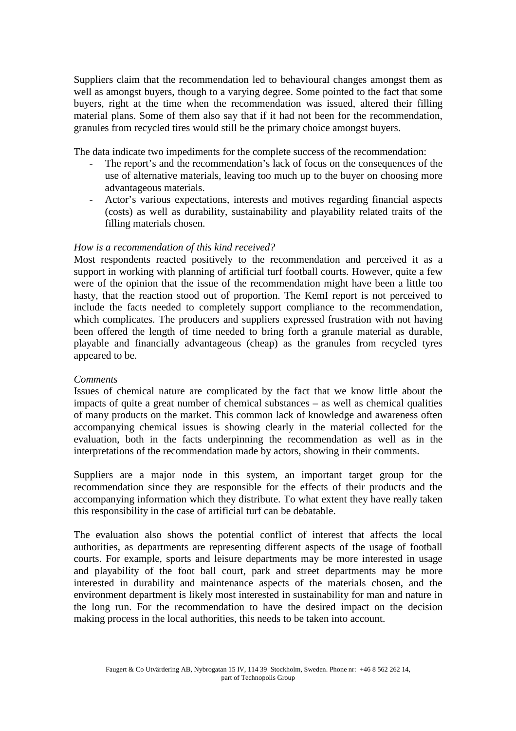Suppliers claim that the recommendation led to behavioural changes amongst them as well as amongst buyers, though to a varying degree. Some pointed to the fact that some buyers, right at the time when the recommendation was issued, altered their filling material plans. Some of them also say that if it had not been for the recommendation, granules from recycled tires would still be the primary choice amongst buyers.

The data indicate two impediments for the complete success of the recommendation:

- The report's and the recommendation's lack of focus on the consequences of the use of alternative materials, leaving too much up to the buyer on choosing more advantageous materials.
- Actor's various expectations, interests and motives regarding financial aspects (costs) as well as durability, sustainability and playability related traits of the filling materials chosen.

### *How is a recommendation of this kind received?*

Most respondents reacted positively to the recommendation and perceived it as a support in working with planning of artificial turf football courts. However, quite a few were of the opinion that the issue of the recommendation might have been a little too hasty, that the reaction stood out of proportion. The KemI report is not perceived to include the facts needed to completely support compliance to the recommendation, which complicates. The producers and suppliers expressed frustration with not having been offered the length of time needed to bring forth a granule material as durable, playable and financially advantageous (cheap) as the granules from recycled tyres appeared to be.

### *Comments*

Issues of chemical nature are complicated by the fact that we know little about the impacts of quite a great number of chemical substances – as well as chemical qualities of many products on the market. This common lack of knowledge and awareness often accompanying chemical issues is showing clearly in the material collected for the evaluation, both in the facts underpinning the recommendation as well as in the interpretations of the recommendation made by actors, showing in their comments.

Suppliers are a major node in this system, an important target group for the recommendation since they are responsible for the effects of their products and the accompanying information which they distribute. To what extent they have really taken this responsibility in the case of artificial turf can be debatable.

The evaluation also shows the potential conflict of interest that affects the local authorities, as departments are representing different aspects of the usage of football courts. For example, sports and leisure departments may be more interested in usage and playability of the foot ball court, park and street departments may be more interested in durability and maintenance aspects of the materials chosen, and the environment department is likely most interested in sustainability for man and nature in the long run. For the recommendation to have the desired impact on the decision making process in the local authorities, this needs to be taken into account.